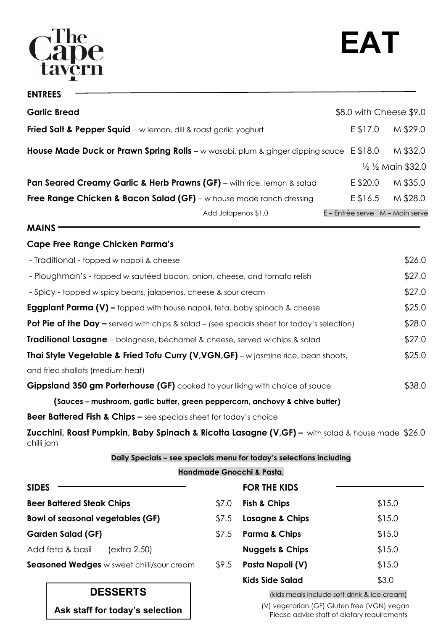# $\overline{\mathbf{e}}$

| <b>ENTREES</b>                                                                                                                                                                                                                |                                 |                             |
|-------------------------------------------------------------------------------------------------------------------------------------------------------------------------------------------------------------------------------|---------------------------------|-----------------------------|
| <b>Garlic Bread</b>                                                                                                                                                                                                           | \$8.0 with Cheese \$9.0         |                             |
| <b>Fried Salt &amp; Pepper Squid</b> – w lemon, dill & roast garlic yoghurt                                                                                                                                                   | E \$17.0                        | M \$29.0                    |
| <b>House Made Duck or Prawn Spring Rolls</b> - w wasabi, plum & ginger dipping sauce $E$ \$18.0                                                                                                                               |                                 | M \$32.0                    |
|                                                                                                                                                                                                                               |                                 | $\frac{1}{2}$ % Main \$32.0 |
| Pan Seared Creamy Garlic & Herb Prawns (GF) - with rice, lemon & salad                                                                                                                                                        | E \$20.0                        | M \$35.0                    |
| Free Range Chicken & Bacon Salad (GF) - w house made ranch dressing                                                                                                                                                           |                                 | $E$ \$16.5 M \$28.0         |
| Add Jalapenos \$1.0                                                                                                                                                                                                           | E - Entrée serve M - Main serve |                             |
| <b>MAINS</b>                                                                                                                                                                                                                  |                                 |                             |
| <b>Cape Free Range Chicken Parma's</b>                                                                                                                                                                                        |                                 |                             |
| - Traditional - topped w napoli & cheese                                                                                                                                                                                      |                                 | \$26.0                      |
| المقاطر المستقل المنافسة المستقل المستقل المستقل المستقل المستقل المستقل المستقل المستقل المستقل المستقل المستقل المستقل المستقل المستقل المستقل المستقل المستقل المستقل المستقل المستقل المستقل المستقل المستقل المستقل المس |                                 | ホヘラ ヘ                       |

| (Sauces – mushroom, garlic butter, green peppercorn, anchovy & chive butter)                       |        |
|----------------------------------------------------------------------------------------------------|--------|
| <b>Gippsland 350 gm Porterhouse (GF)</b> cooked to your liking with choice of sauce                | \$38.0 |
| and fried shallots (medium heat)                                                                   |        |
| Thai Style Vegetable & Fried Tofu Curry (V, VGN, GF) - w jasmine rice, bean shoots,                | \$25.0 |
| <b>Traditional Lasagne</b> – bolognese, béchamel & cheese, served w chips & salad                  | \$27.0 |
| <b>Pot Pie of the Day –</b> served with chips & salad – (see specials sheet for today's selection) | \$28.0 |
| <b>Eggplant Parma (V) -</b> topped with house napoli, feta, baby spinach & cheese                  | \$25.0 |
| - Spicy - topped w spicy beans, jalapenos, cheese & sour cream                                     | \$27.0 |
| - Ploughman's - topped w sautéed bacon, onion, cheese, and tomato relish                           | \$27.0 |

**Beer Battered Fish & Chips –** see specials sheet for today's choice

**Zucchini, Roast Pumpkin, Baby Spinach & Ricotta Lasagne (V,GF) –** with salad & house made \$26.0 chilli jam

### **Daily Specials – see specials menu for today's selections including**

### **Handmade Gnocchi & Pasta,**

| <b>SIDES</b>                                     |       | <b>FOR THE KIDS</b>                         |        |
|--------------------------------------------------|-------|---------------------------------------------|--------|
| <b>Beer Battered Steak Chips</b>                 | \$7.0 | <b>Fish &amp; Chips</b>                     | \$15.0 |
| <b>Bowl of seasonal vegetables (GF)</b>          | \$7.5 | Lasagne & Chips                             | \$15.0 |
| <b>Garden Salad (GF)</b>                         | \$7.5 | <b>Parma &amp; Chips</b>                    | \$15.0 |
| Add feta & basil<br>(extra 2.50)                 |       | <b>Nuggets &amp; Chips</b>                  | \$15.0 |
| <b>Seasoned Wedges</b> w sweet chilli/sour cream | \$9.5 | Pasta Napoli (V)                            | \$15.0 |
|                                                  |       | <b>Kids Side Salad</b>                      | \$3.0  |
| <b>DESSERTS</b>                                  |       | (kids meals include soft drink & ice cream) |        |

**Ask staff for today's selection** (V) vegetarian (GF) Gluten free (VGN) vegan Please advise staff of dietary requirements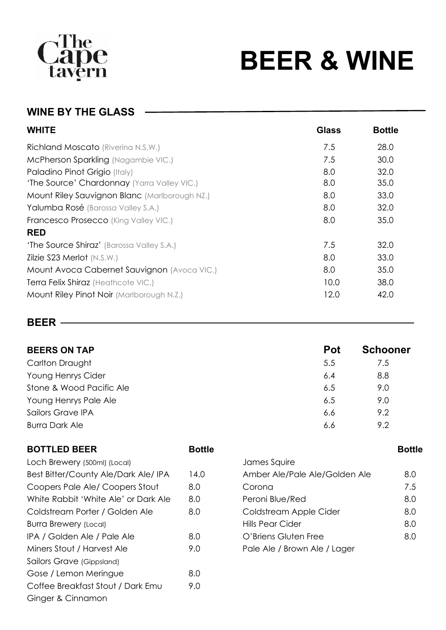# **Cape**<br>tavern

# **BEER & WINE**

# **WINE BY THE GLASS**

| <b>WHITE</b>                                  | <b>Glass</b> | <b>Bottle</b> |
|-----------------------------------------------|--------------|---------------|
| Richland Moscato (Riverina N.S.W.)            | 7.5          | 28.0          |
| McPherson Sparkling (Nagambie VIC.)           | 7.5          | 30.0          |
| Paladino Pinot Grigio (Italy)                 | 8.0          | 32.0          |
| 'The Source' Chardonnay (Yarra Valley VIC.)   | 8.0          | 35.0          |
| Mount Riley Sauvignon Blanc (Marlborough NZ.) | 8.0          | 33.0          |
| Yalumba Rosé (Barossa Valley S.A.)            | 8.0          | 32.0          |
| Francesco Prosecco (King Valley VIC.)         | 8.0          | 35.0          |
| <b>RED</b>                                    |              |               |
| 'The Source Shiraz' (Barossa Valley S.A.)     | 7.5          | 32.0          |
| Zilzie S23 Merlot (N.S.W.)                    | 8.0          | 33.0          |
| Mount Avoca Cabernet Sauvignon (Avoca VIC.)   | 8.0          | 35.0          |
| Terra Felix Shiraz (Heathcote VIC.)           | 10.0         | 38.0          |
| Mount Riley Pinot Noir (Marlborough N.Z.)     | 12.0         | 42.0          |

# **BEER**

| <b>BEERS ON TAP</b>      | <b>Pot</b> | <b>Schooner</b> |
|--------------------------|------------|-----------------|
| Carlton Draught          | 5.5        | 7.5             |
| Young Henrys Cider       | 6.4        | 8.8             |
| Stone & Wood Pacific Ale | 6.5        | 9.0             |
| Young Henrys Pale Ale    | 6.5        | 9.0             |
| Sailors Grave IPA        | 6.6        | 9.2             |
| <b>Burra Dark Ale</b>    | 6.6        | 9.2             |
|                          |            |                 |

## **BOTTLED BEER Bottle Bottle Bottle Bottle**

| Loch Brewery (500ml) (Local)         |      | James Squire                 |
|--------------------------------------|------|------------------------------|
| Best Bitter/County Ale/Dark Ale/ IPA | 14.0 | Amber Ale/Pale Ale/Golder    |
| Coopers Pale Ale/Coopers Stout       | 8.0  | Corona                       |
| White Rabbit 'White Ale' or Dark Ale | 8.0  | Peroni Blue/Red              |
| Coldstream Porter / Golden Ale       | 8.0  | Coldstream Apple Cider       |
| Burra Brewery (Local)                |      | Hills Pear Cider             |
| IPA / Golden Ale / Pale Ale          | 8.0  | O'Briens Gluten Free         |
| Miners Stout / Harvest Ale           | 9.0  | Pale Ale / Brown Ale / Lager |
| Sailors Grave (Gippsland)            |      |                              |
| Gose / Lemon Meringue                | 8.0  |                              |
| Coffee Breakfast Stout / Dark Emu    | 9.0  |                              |
| Ginger & Cinnamon                    |      |                              |

|                                      |      |                               | ----- |
|--------------------------------------|------|-------------------------------|-------|
| Loch Brewery (500ml) (Local)         |      | James Squire                  |       |
| Best Bitter/County Ale/Dark Ale/ IPA | 14.0 | Amber Ale/Pale Ale/Golden Ale | 8.0   |
| Coopers Pale Ale/ Coopers Stout      | 8.0  | Corona                        | 7.5   |
| White Rabbit 'White Ale' or Dark Ale | 8.0  | Peroni Blue/Red               | 8.0   |
| Coldstream Porter / Golden Ale       | 8.0  | Coldstream Apple Cider        | 8.0   |
| <b>Burra Brewery (Local)</b>         |      | Hills Pear Cider              | 8.0   |
| IPA / Golden Ale / Pale Ale          | 8.0  | O'Briens Gluten Free          | 8.0   |
| Miners Stout / Harvest Ale           | 9.0  | Pale Ale / Brown Ale / Lager  |       |
|                                      |      |                               |       |